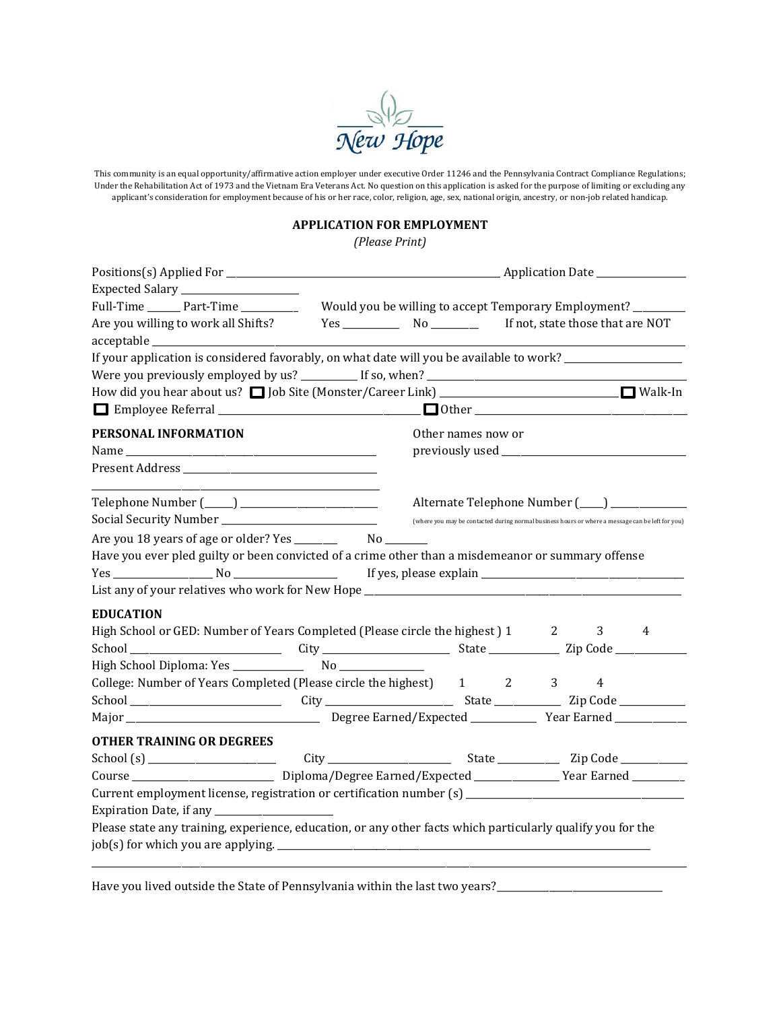

This community is an equal opportunity/affirmative action employer under executive Order 11246 and the Pennsylvania Contract Compliance Regulations; Under the Rehabilitation Act of 1973 and the Vietnam Era Veterans Act. No question on this application is asked for the purpose of limiting or excluding any applicant's consideration for employment because of his or her race, color, religion, age, sex, national origin, ancestry, or non-job related handicap.

## **APPLICATION FOR EMPLOYMENT**

*(Please Print)*

| Expected Salary _______________________                                                                       |                                                              |                    |  |  |                                                |                                                                                                  |
|---------------------------------------------------------------------------------------------------------------|--------------------------------------------------------------|--------------------|--|--|------------------------------------------------|--------------------------------------------------------------------------------------------------|
| Full-Time ________ Part-Time ___________                                                                      | Would you be willing to accept Temporary Employment? _______ |                    |  |  |                                                |                                                                                                  |
|                                                                                                               |                                                              |                    |  |  |                                                |                                                                                                  |
|                                                                                                               |                                                              |                    |  |  |                                                |                                                                                                  |
| If your application is considered favorably, on what date will you be available to work? ____________________ |                                                              |                    |  |  |                                                |                                                                                                  |
|                                                                                                               |                                                              |                    |  |  |                                                |                                                                                                  |
|                                                                                                               |                                                              |                    |  |  |                                                |                                                                                                  |
|                                                                                                               |                                                              |                    |  |  |                                                |                                                                                                  |
| PERSONAL INFORMATION                                                                                          |                                                              | Other names now or |  |  |                                                |                                                                                                  |
|                                                                                                               |                                                              |                    |  |  |                                                |                                                                                                  |
|                                                                                                               |                                                              |                    |  |  |                                                |                                                                                                  |
| the control of the control of the control of the control of the control of                                    |                                                              |                    |  |  |                                                |                                                                                                  |
|                                                                                                               |                                                              |                    |  |  | Alternate Telephone Number (____) ____________ |                                                                                                  |
|                                                                                                               |                                                              |                    |  |  |                                                | (where you may be contacted during normal business hours or where a message can be left for you) |
|                                                                                                               |                                                              |                    |  |  |                                                |                                                                                                  |
| Have you ever pled guilty or been convicted of a crime other than a misdemeanor or summary offense            |                                                              |                    |  |  |                                                |                                                                                                  |
|                                                                                                               |                                                              |                    |  |  |                                                |                                                                                                  |
|                                                                                                               |                                                              |                    |  |  |                                                |                                                                                                  |
| <b>EDUCATION</b>                                                                                              |                                                              |                    |  |  |                                                |                                                                                                  |
| High School or GED: Number of Years Completed (Please circle the highest) 1 2                                 |                                                              |                    |  |  | $3 \sim$                                       | 4                                                                                                |
|                                                                                                               |                                                              |                    |  |  |                                                |                                                                                                  |
|                                                                                                               |                                                              |                    |  |  |                                                |                                                                                                  |
| College: Number of Years Completed (Please circle the highest) 1 2 3                                          |                                                              |                    |  |  | $\overline{4}$                                 |                                                                                                  |
|                                                                                                               |                                                              |                    |  |  |                                                |                                                                                                  |
|                                                                                                               |                                                              |                    |  |  |                                                |                                                                                                  |
| <b>OTHER TRAINING OR DEGREES</b>                                                                              |                                                              |                    |  |  |                                                |                                                                                                  |
|                                                                                                               |                                                              |                    |  |  |                                                |                                                                                                  |
| Course _________________________________Diploma/Degree Earned/Expected ________________Year Earned __________ |                                                              |                    |  |  |                                                |                                                                                                  |
|                                                                                                               |                                                              |                    |  |  |                                                |                                                                                                  |
|                                                                                                               |                                                              |                    |  |  |                                                |                                                                                                  |
| Please state any training, experience, education, or any other facts which particularly qualify you for the   |                                                              |                    |  |  |                                                |                                                                                                  |
|                                                                                                               |                                                              |                    |  |  |                                                |                                                                                                  |
|                                                                                                               |                                                              |                    |  |  |                                                |                                                                                                  |

Have you lived outside the State of Pennsylvania within the last two years?\_\_\_\_\_\_\_\_\_\_\_\_\_\_\_\_\_\_\_\_\_\_\_\_\_\_\_\_\_\_\_\_\_\_\_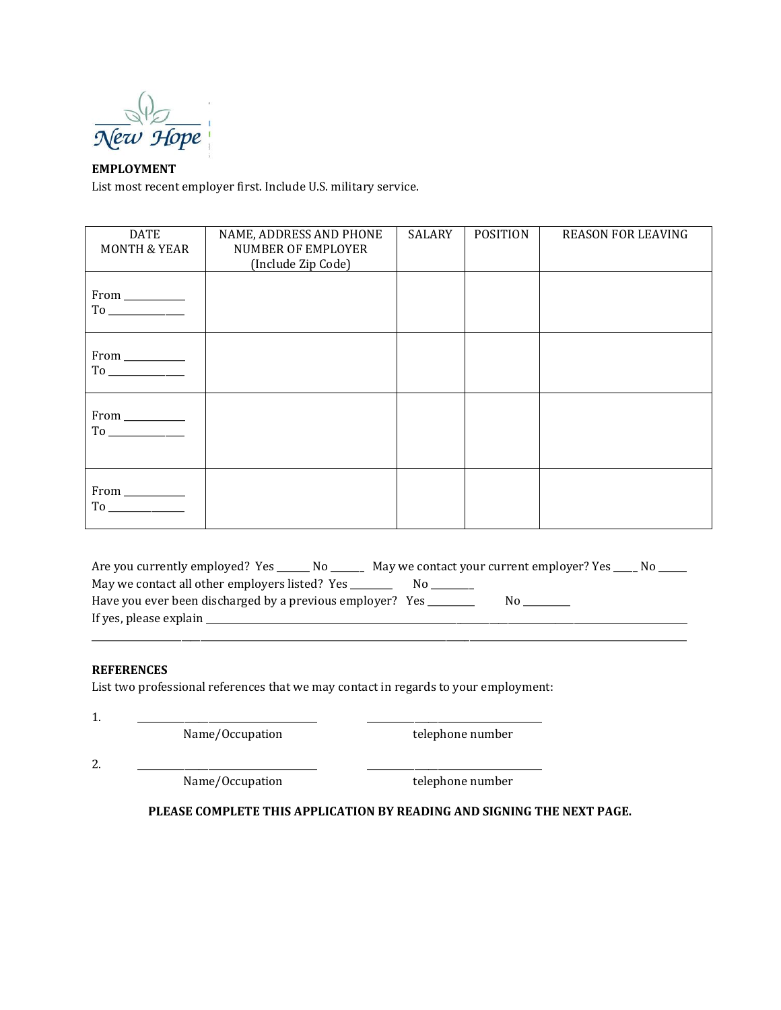

# **EMPLOYMENT**

List most recent employer first. Include U.S. military service.

| <b>DATE</b><br><b>MONTH &amp; YEAR</b>                                                                      | NAME, ADDRESS AND PHONE<br>NUMBER OF EMPLOYER<br>(Include Zip Code) | <b>SALARY</b> | <b>POSITION</b> | <b>REASON FOR LEAVING</b> |
|-------------------------------------------------------------------------------------------------------------|---------------------------------------------------------------------|---------------|-----------------|---------------------------|
| $From \_\_$                                                                                                 |                                                                     |               |                 |                           |
| $\begin{tabular}{l} From & \underline{\hspace{1cm}}\\ To & \underline{\hspace{1cm}}\\ \hline \end{tabular}$ |                                                                     |               |                 |                           |
| $From \_\_$                                                                                                 |                                                                     |               |                 |                           |
|                                                                                                             |                                                                     |               |                 |                           |

| Are you currently employed? Yes<br>No No                  | May we contact your current employer? Yes |    | N0. |
|-----------------------------------------------------------|-------------------------------------------|----|-----|
| May we contact all other employers listed? Yes            |                                           |    |     |
| Have you ever been discharged by a previous employer? Yes |                                           | N٥ |     |
| If yes, please explain                                    |                                           |    |     |

\_\_\_\_\_\_\_\_\_\_\_\_\_\_\_\_\_\_\_\_\_\_\_\_\_\_\_\_\_\_\_\_\_\_\_\_\_\_\_\_\_\_\_\_\_\_\_\_\_\_\_\_\_\_\_\_\_\_\_\_\_\_\_\_\_\_\_\_\_\_\_\_\_\_\_\_\_\_\_\_\_\_\_\_\_\_\_\_\_\_\_\_\_\_\_\_\_\_\_\_\_\_\_\_\_\_\_\_\_\_\_\_\_\_\_\_\_\_\_\_\_\_\_\_\_\_

## **REFERENCES**

List two professional references that we may contact in regards to your employment:

1. \_\_\_\_\_\_\_\_\_\_\_\_\_\_\_\_\_\_\_\_\_\_\_\_\_\_\_\_\_\_\_\_\_\_\_\_\_\_ \_\_\_\_\_\_\_\_\_\_\_\_\_\_\_\_\_\_\_\_\_\_\_\_\_\_\_\_\_\_\_\_\_\_\_\_\_

Name/Occupation telephone number

2. \_\_\_\_\_\_\_\_\_\_\_\_\_\_\_\_\_\_\_\_\_\_\_\_\_\_\_\_\_\_\_\_\_\_\_\_\_\_ \_\_\_\_\_\_\_\_\_\_\_\_\_\_\_\_\_\_\_\_\_\_\_\_\_\_\_\_\_\_\_\_\_\_\_\_\_

Name/Occupation telephone number

## **PLEASE COMPLETE THIS APPLICATION BY READING AND SIGNING THE NEXT PAGE.**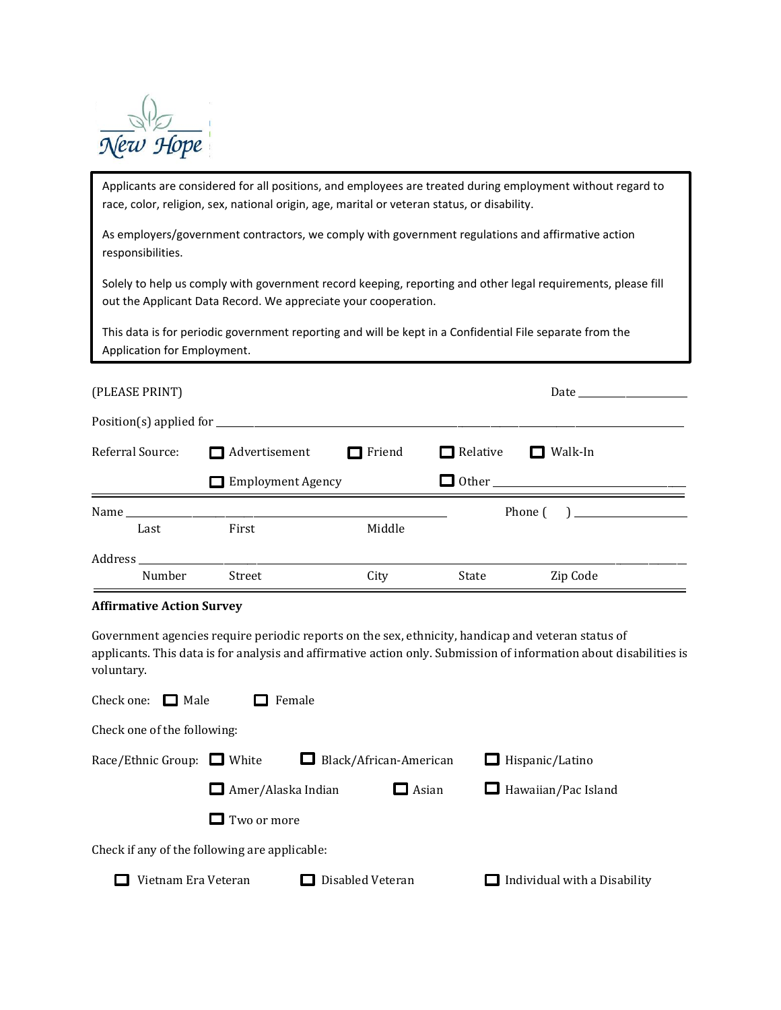

race, color, religion, sex, national origin, age, marital or veteran status, or disability.<br>. Applicants are considered for all positions, and employees are treated during employment without regard to

As employers/government contractors, we comply with government regulations and affirmative action responsibilities.

Solely to help us comply with government record keeping, reporting and other legal requirements, please fill out the Applicant Data Record. We appreciate your cooperation.

This data is for periodic government reporting and will be kept in a Confidential File separate from the Application for Employment.

| (PLEASE PRINT)                                                                                                                                                                                                                 |                                    |               |       |                                                      |  |
|--------------------------------------------------------------------------------------------------------------------------------------------------------------------------------------------------------------------------------|------------------------------------|---------------|-------|------------------------------------------------------|--|
|                                                                                                                                                                                                                                |                                    |               |       |                                                      |  |
| Referral Source:                                                                                                                                                                                                               | Advertisement                      | $\Box$ Friend |       | $\Box$ Relative $\Box$ Walk-In                       |  |
|                                                                                                                                                                                                                                | <b>Employment Agency</b><br>$\sim$ |               |       |                                                      |  |
|                                                                                                                                                                                                                                |                                    |               |       | Phone $\begin{pmatrix} 1 & 1 \\ 1 & 1 \end{pmatrix}$ |  |
| Last                                                                                                                                                                                                                           | First                              | Middle        |       |                                                      |  |
| Address and the contract of the contract of the contract of the contract of the contract of the contract of the contract of the contract of the contract of the contract of the contract of the contract of the contract of th |                                    |               |       |                                                      |  |
| Number                                                                                                                                                                                                                         | Street                             | City          | State | Zip Code                                             |  |

#### **Affirmative Action Survey**

Government agencies require periodic reports on the sex, ethnicity, handicap and veteran status of applicants. This data is for analysis and affirmative action only. Submission of information about disabilities is voluntary.

| Check one: $\Box$ Male                        | Female                 |                              |
|-----------------------------------------------|------------------------|------------------------------|
| Check one of the following:                   |                        |                              |
| Race/Ethnic Group: $\Box$ White               | Black/African-American | $\Box$ Hispanic/Latino       |
| $\Box$ Amer/Alaska Indian                     | $\Box$ Asian           | $\Box$ Hawaiian/Pac Island   |
| Two or more                                   |                        |                              |
| Check if any of the following are applicable: |                        |                              |
| Vietnam Era Veteran                           | Disabled Veteran       | Individual with a Disability |